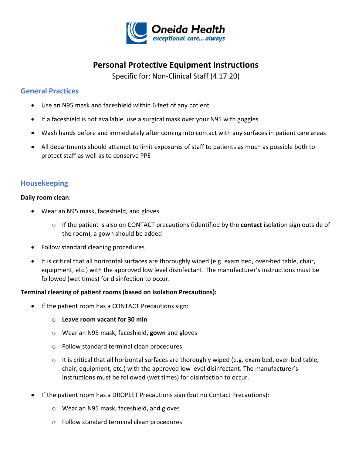

# **Personal Protective Equipment Instructions**

Specific for: Non-Clinical Staff (4.17.20)

## **General Practices**

- Use an N95 mask and faceshield within 6 feet of any patient
- If a faceshield is not available, use a surgical mask over your N95 with goggles
- Wash hands before and immediately after coming into contact with any surfaces in patient care areas
- All departments should attempt to limit exposures of staff to patients as much as possible both to protect staff as well as to conserve PPE

### **Housekeeping**

#### **Daily room clean**:

- Wear an N95 mask, faceshield, and gloves
	- o If the patient is also on CONTACT precautions (identified by the **contact** isolation sign outside of the room), a gown should be added
- Follow standard cleaning procedures
- It is critical that all horizontal surfaces are thoroughly wiped (e.g. exam bed, over-bed table, chair, equipment, etc.) with the approved low level disinfectant. The manufacturer's instructions must be followed (wet times) for disinfection to occur.

#### **Terminal cleaning of patient rooms (based on Isolation Precautions):**

- If the patient room has a CONTACT Precautions sign:
	- o **Leave room vacant for 30 min**
	- o Wear an N95 mask, faceshield, **gown** and gloves
	- o Follow standard terminal clean procedures
	- o It is critical that all horizontal surfaces are thoroughly wiped (e.g. exam bed, over-bed table, chair, equipment, etc.) with the approved low level disinfectant. The manufacturer's instructions must be followed (wet times) for disinfection to occur.
- If the patient room has a DROPLET Precautions sign (but no Contact Precautions):
	- o Wear an N95 mask, faceshield, and gloves
	- o Follow standard terminal clean procedures